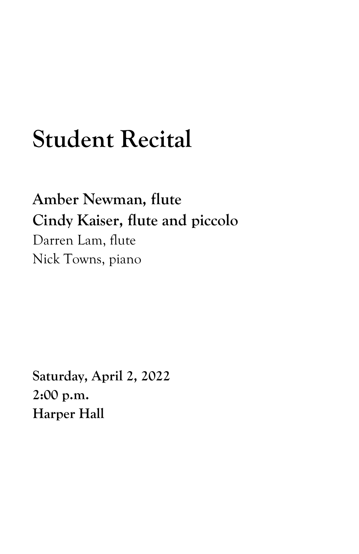## **Student Recital**

**Amber Newman, flute Cindy Kaiser, flute and piccolo** Darren Lam, flute Nick Towns, piano

**Saturday, April 2, 2022 2:00 p.m. Harper Hall**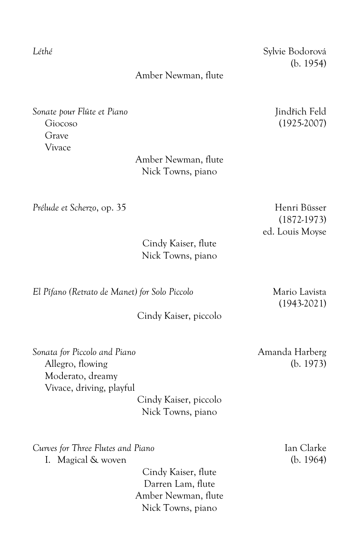*Léthé* Sylvie Bodorová (b. 1954)

## Amber Newman, flute

*Sonate pour Flûte et Piano* Jindřich Feld Giocoso (1925-2007) Grave Vivace

> Amber Newman, flute Nick Towns, piano

*Prélude et Scherzo*, op. 35 Henri Büsser

ed. Louis Moyse

Cindy Kaiser, flute Nick Towns, piano

*El Pífano (Retrato de Manet) for Solo Piccolo* Mario Lavista

Cindy Kaiser, piccolo

Allegro, flowing (b. 1973) Moderato, dreamy Vivace, driving, playful

> Cindy Kaiser, piccolo Nick Towns, piano

*Curves for Three Flutes and Piano* Ian Clarke

I. Magical & woven (b. 1964)

Cindy Kaiser, flute Darren Lam, flute Amber Newman, flute Nick Towns, piano

(1872-1973)

(1943-2021)

*Sonata for Piccolo and Piano* Amanda Harberg